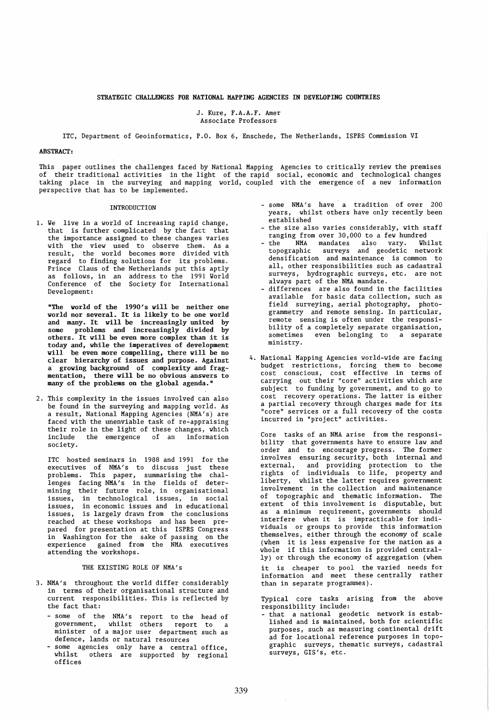# STRATEGIC CHALLENGES FOR NATIONAL HAPPING AGENCIES IN DEVELOPING COUNTRIES

J. Kure, F.A.A.F. Amer Associate Professors

lTC, Department of Geoinformatics, P.O. Box 6, Enschede, The Netherlands, ISPRS Commission VI

# ABSTRACT:

This paper outlines the challenges faced by National Mapping Agencies to critically review the premises of their traditional activities in the light of the rapid social, economic and technological changes taking place in the surveying and mapping world, coupled with the emergence of a new information perspective that has to be implemented.

# INTRODUCTION

1. Ve live in a world of increasing rapid change, that is further complicated by the fact that the importance assigned to these changes varies with the view used to observe them. As a result, the world becomes more divided with regard to finding solutions for its problems. Prince Claus of the Netherlands put this aptly as follows, in an address to the 1991 Vorld Conference of the Society for International Development:

"The world of the 1990's will be neither one world nor several. It is likely to be one world and many. It will be increasingly united by some problems and increasingly divided by others. It will be even more complex than it is today and, while the imperatives of development will be even more compelling, there will be no clear hierarchy of issues and purpose. Against a growing background of complexity and fragmentation, there will be no obvious answers to many of the problems on the global agenda."

2. This complexity in the issues involved can also be found in the surveying and mapping world. As a result, National Mapping Agencies (NMA's) are faced with the unenviable task of re-appraising their role in the light of these changes, which include the emergence of an information society.

ITC hosted seminars in 1988 and 1991 for the executives of NMA's to discuss just these problems. This paper, summarising the challenges facing NMA's in the fields of determining their future role, in organisational issues, in technological issues, in social issues, in economic issues and in educational issues, is largely drawn from the conclusions reached at these workshops and has been prepared for presentation at this ISPRS Congress in Vashington for the sake of passing on the experience gained from the NMA executives attending the workshops.

# THE EXISTING ROLE OF NMA's

- 3. NMA's throughout the world differ considerably in terms of their organisational structure and current responsibilities. This is reflected by the fact that:
	- some of the NMA's report to the some of the NMA's report to the head-of<br>government, whilst others report to a minister of a major user department such as defence, lands or natural resources to a
	- some agencies only have a central office, whilst others are supported by regional offices
- some NMA's have a tradition of over 200 years, whilst others have only recently been established
- the size also varies considerably, with staff ranging from over 30,000 to a few hundred
- the NMA mandates also vary. Vhilst topographic surveys and geodetic network densification and maintenance is common to all, other responsibilities such as cadastral surveys, hydrographic surveys, etc. are not always part of the NMA mandate.
- differences are also found in the facilities available for basic data collection, such as field surveying, aerial photography, photogrammetry and remote sensing. In particular, remote sensing is often under the responsibility of a completely separate organisation,<br>sometimes even belonging to a separate even belonging to a separate ministry.
- 4. National Mapping Agencies world-wide are facing budget restrictions, forcing them to become cost conscious, cost effective in terms of carrying out their "core" activities which are subject to funding by government, and to go to cost recovery operations. The latter is either a partial recovery through charges made for its "core" services or a full recovery of the costs incurred in "project" activities.

Core tasks of an NMA arise from the responsibility that governments have to ensure law and order and to encourage progress. The former involves ensuring security, both internal and external, and providing protection to the rights of individuals to life, property and liberty, whilst the latter requires government involvement in the collection and maintenance of topographic and thematic information. The extent of this involvement is disputable, but as a minimum requirement, governments should interfere when it is impracticable for individuals or groups to provide this information themselves, either through the economy of scale (when it is less expensive for the nation as a whole if this information is provided centrally) or through the economy of aggregation (when it is cheaper to pool the varied needs for information and meet these centrally rather than in separate programmes).

Typical core tasks arising from the above responsibility include:

- that a national geodetic network is established and is maintained, both for scientific purposes, such as measuring continental drift ad for locational reference purposes in topographic surveys, thematic surveys, cadastral surveys, GIS's, etc.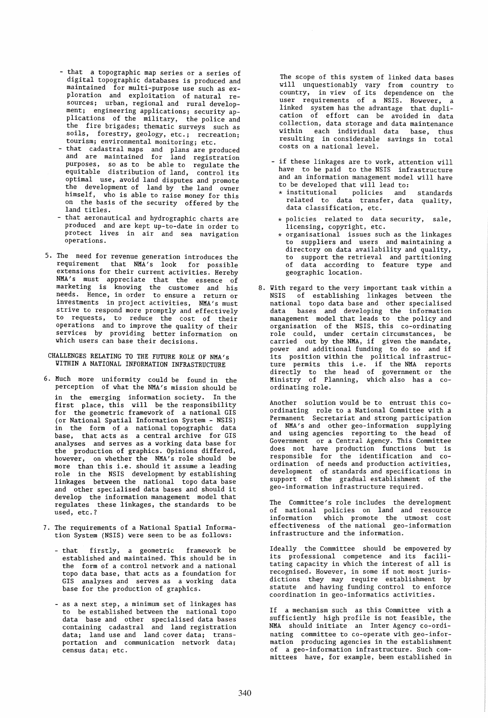- that a topographic map series or a series of digital topographic databases is produced and maintained for multi-purpose use such as exploration and exploitation of natural resources; urban, regional and rural development; engineering applications; security applications of the military, the police and the fire brigades; thematic surveys such as soils, forestry, geology, etc.; recreation; tourism; environmental monitoring; etc.
- that cadastral maps and plans are produced and are maintained for land registration purposes, so as to be able to regulate the equitable distribution of land, control its optimal use, avoid land disputes and promote the development of land by the land owner himself, who is able to raise money for this on the basis of the security offered by the land titles.
- that aeronautical and hydrographic charts are produced and are kept up-to-date in order to protect lives in air and sea navigation operatlons.
- 5. The need for revenue generation introduces the requirement that NMA's look for possible extensions for their current activities. Hereby NMA's must appreciate that the essence of marketing is knowing the customer and his needs. Hence, in order to ensure a return or investments in project activities, NMA's must strive to respond more promptly and effectively to requests, to reduce the cost of their operations and to improve the quality of their services by providing better information on which users can base their decisions.
- CHALLENGES RELATING TO THE FUTURE ROLE OF NMA's YITHIN A NATIONAL INFORMATION INFRASTRUCTURE
- 6. Much more uniformity could be found in the perception of what the NMA's mission should be in the emerging information society. In the first place, this will be the responsibility for the geometric framework of a national GIS (or National Spatial Information System - NSIS) in the form of a national topographic data base, that acts as a central archive for GIS analyses and serves as a working data base for the production of graphics. Opinions differed, however, on whether the NMA's role should be more than this i.e. should it assume a leading role in the NSIS development by establishing linkages between the national topo data base and other specialised data bases and should it develop the information management model that regulates these linkages, the standards to be used, etc.?
- 7. The requirements of a National Spatial Information System (NSIS) were seen to be as follows:
	- that firstly, a geometric framework be established and maintained. This should be in the form of a control network and a national topo data base, that acts as a foundation for GIS analyses and serves as a working data base for the production of graphics.
	- as a next step, a minimum set of linkages has to be established between the national topo data base and other specialised data bases containing cadastral and land registration data; land use and land cover data; transportation and communication network data; census data; etc.

The scope of this system of linked data bases will unquestionably vary from country to country, in view of its dependence on the user requirements of a NSIS. However, a<br>linked system-has-the-advantage that-duplication of effort can be avoided in data collection, data storage and data maintenance within each individual data base, thus reSUlting in considerable savings in total costs on a national level.

- if these linkages are to work, attention will have to be paid to the NSIS infrastructure and an information management model will have to be developed that will lead to:
	- \* institutional policies and standards related to data transfer, data quality, data classification, etc.
	- \* policies related to data security, sale, licensing, copyright, etc.
- $*$  organisational issues such as the linkages to suppliers and users and maintaining a directory on data availability and quality, to support the retrieval and partitioning of data according to feature type and geographic location.
- 8. Yith regard to the very important task within a NSIS of establishing linkages between the national topo data base and other specialised data bases and developing the information management model that leads to the policy and organisation of the NSIS, this co-ordinating role could, under certain circumstances, be carried out by the NMA, if given the mandate, power and additional funding to do so and if its position within the political infrastructure permits this i.e. if the NMA reports directly to the head of government or the Ministry of Planning, which also has a coordinating role.

Another solution would be to entrust this coordinating role to a National Committee with a Permanent Secretariat and strong participation of NMA's and other geo-information supplying and using agencies reporting to the head of Government or a Central Agency. This Committee does not have production functions but is responsible for the identification and coordination of needs and production activities, development of standards and specifications in support of the gradual establishment of the geo-information infrastructure required.

The Committee's role includes the development of national policies on land and resource information which promote the utmost cost effectiveness of the national geo-information infrastructure and the information.

Ideally the Committee should be empowered by its professional competence and its facilitating capacity in which the interest of all is recognised. However, in some if not most jurisdictions they may require establishment by statute and having funding control to enforce coordination in geo-informatics activities.

If a mechanism such as this Committee with a sufficiently high profile is not feasible, the NMA should initiate an Inter Agency co-ordinating committee to co-operate with geo-information producing agencies in the establishment of a geo-information infrastructure. Such committees have, for example, been established in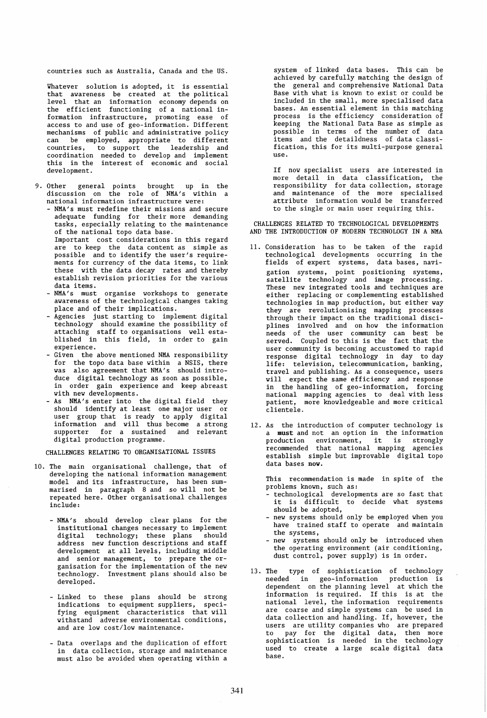countries such as Australia, Canada and the US.

Whatever solution is adopted, it is essential that awareness be created at the political level that an information economy depends on the efficient functioning of a national information infrastructure, promoting ease of access to and use of geo-information. Different mechanisms of public and administrative policy can be employed, appropriate to different countries, to support the leadership and coordination needed to develop and implement this in the interest of economic and social development.

- 9. Other general points brought up in the discussion on the role of NMA's within a national information infrastructure were:
	- NMA's must redefine their missions and secure adequate funding for their more demanding tasks, especially relating to the maintenance of the national topo data base. Important cost considerations in this regard are to keep the data content as simple as possible and to identify the user's requirements for currency of the data items, to link these with the data decay rates and thereby establish revision priorities for the various data items.
	- NMA's must organise workshops to generate awareness of the technological changes taking place and of their implications.
	- Agencies just starting to implement digital technology should examine the possibility of attaching staff to organisations well established in this field, in order to gain experience.
	- Given the above mentioned NMA responsibility for the topo data base within a NSIS, there was also agreement that NMA's should introduce digital technology as soon as possible, in order gain experience and keep abreast
	- with new developments. As NMA's enter into the digital field they should identify at least one major user or user group that is ready to apply digital information and will thus become a strong supporter for a sustained and relevant digital production programme.

CHALLENGES RELATING TO ORGANISATIONAL ISSUES

- 10. The main organisational challenge, that of developing the national information management model and its infrastructure, has been summarised in paragraph 8 and so will not be repeated here. Other organisational challenges include:
	- NMA's should develop clear plans for the institutional changes necessary to implement digital technology; these plans should address new function descriptions and staff development at all levels, including middle and senior management, to prepare the organisation for the implementation of the new technology. Investment plans should also be developed.
	- Linked to these plans should be strong indications to equipment suppliers, specifying equipment characteristics that will withstand adverse environmental conditions, and are low cost/low maintenance.
	- Data overlaps and the duplication of effort in data collection, storage and maintenance must also be avoided when operating within a

system of linked data bases. This can be achieved by carefully matching the design of the general and comprehensive National Data Base with what is known to exist or could be included in the small, more specialised data bases. An essential element in this matching process is the efficiency consideration of keeping the National Data Base as simple as possible in terms of the number of data items and the detaildness of data classification, this for its multi-purpose general use.

If now specialist users are interested in more detail in data classification, the responsibility for data collection, storage and maintenance of the more specialised attribute information would be transferred to the single or main user requiring this.

CHALLENGES RELATED TO TECHNOLOGICAL DEVELOPMENTS AND THE INTRODUCTION OF MODERN TECHNOLOGY IN A NMA

- 11. Consideration has to be taken of the rapid technological developments occurring in the fields of expert systems, data bases, navigation systems, point positioning systems, satellite technology and image processing. These new integrated tools and techniques are either replacing or complementing established technologies in map production, but either way they are revolutionising mapping processes through their impact on the traditional disciplines involved and on how the information needs of the user community can best be served. Coupled to this is the fact that the user community is becoming accustomed to rapid response digital technology in day to day life: television, telecommunication, banking, travel and publishing. As a consequence, users will expect the same efficiency and response in the handling of geo-information, forcing national mapping agencies to deal with less patient, more knowledgeable and more critical clientele.
- 12. As the introduction of computer technology is a must and not an option in the information production environment, it is strongly recommended that national mapping agencies establish simple but improvable digital topo data bases nov.

This recommendation is made in spite of the problems known, such as:

- technological developments are so fast that it is difficult to decide what systems should be adopted,
- new systems should only be employed when you have trained staff to operate and maintain the systems,
- new systems should only be introduced when the operating environment (air conditioning, dust control, power supply) is in order.
- 13. The type of sophistication of technology needed in geo-information production is dependent on the planning level at which the information is required. If this is at the national level, the information requirements are coarse and simple systems can be used in data collection and handling. If, however, the users are utility companies who are prepared to pay for the digital data, then more sophistication is needed in the technology used to create a large scale digital data base.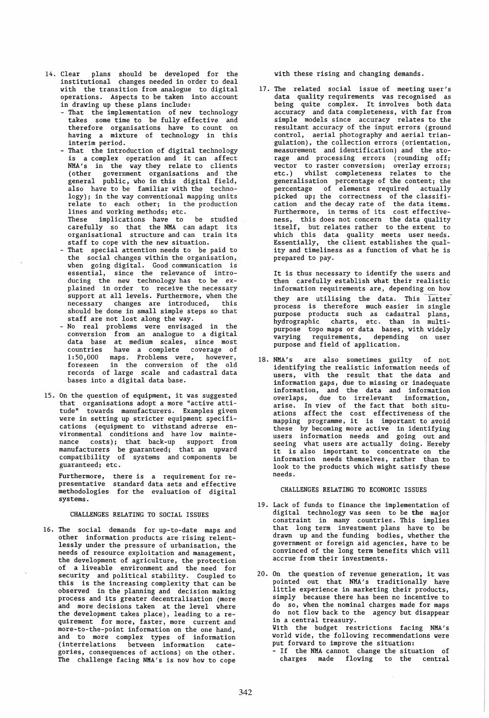- 14. Clear plans should be developed for the institutional changes needed in order to deal with the transition from analogue to digital operations. Aspects to be taken into account in drawing up these plans include:
	- That the implementation of new technology takes some time to be fully effective and<br>therefore organisations have to count on having a mixture of technology in this interim period.
	- That the introduction of digital technology is a complex operation and it can affect NMA's in the way they relate to clients (other government organisations and the general public, who in this digital field, also have to be familiar with the technology); in the way conventional mapping units relate to each other; in the production lines and working methods; etc.
	- These implications have to be studied carefully so that the NHA can adapt its organisational structure and can train its staff to cope with the new situation.
	- That special attention needs to be paid to the social changes within the organisation, when going digital. Good communication is essential, since the relevance of introducing the new technology has to be ex-<br>plained in order to receive the necessary support at all levels. Furthermore, when the necessary changes are introduced, this should be done in small simple steps so that staff are not lost along the way.
	- No real problems were envisaged in the conversion from an analogue to a digital data base at medium scales, since most countries have a complete coverage of 1:50,000 maps. Problems were, however, foreseen in the conversion of the old records of large scale and cadastral data bases into a digital data base.
- 15. On the question of equipment, it was suggested that organisations adopt a more "active attitude" towards manufacturers. Examples given were in setting up stricter equipment specifications (equipment to withstand adverse environmental conditions and have low maintenance costs); that back-up support from manufacturers be guaranteed; that an upward compatibility of systems and components be guaranteed; etc.

Furthermore, presentative methodologies systems. there is a requirement for re- standard data sets and effective for the evaluation of digital

#### CHALLENGES RELATING TO SOCIAL ISSUES

16. The social demands for up-to-date maps and other information products are rising relentlessly under the pressure of urbanisation, the needs of resource exploitation and management, the development of agriculture, the protection of a liveable environment and the need for security and political stability. Coupled to this is the increasing complexity that can be observed in the planning and decision making process and its greater decentralisation (more and more decisions taken at the level where the development takes place), leading to a requirement for more, faster, more current and more-to-the-point information on the one hand, and to more complex types of information (interrelations between information categories, consequences of actions) on the other. The challenge facing NHA's is now how to cope

with these rising and changing demands.

17. The related social issue of meeting user's data quality requirements was recognised as being quite complex. It involves both data accuracy and data completeness, with far from simple models since accuracy relates to the resultant accuracy of the input errors (ground control, aerial photography and aerial triangulation), the collection errors (orientation, measurement and identification) and the storage and processing errors (rounding off; vector to raster conversion; overlay errors; etc.) whilst completeness relates to the generalisation percentage of the content; the percentage of elements required actually picked up; the correctness of the classification and the decay rate of the data items. Furthermore, in terms of its cost effectiveness, this does not concern the data quality itself, but relates rather to the extent to which this data quality meets user needs. Essentially, the client establishes the quality and timeliness as a function of what he is prepared to pay.

It is thus necessary to identify the users and then carefully establish what their realistic information requirements are, depending on how they are utilising the data. This latter process is therefore much easier in single purpose products such as cadastral plans, hydrographic charts, etc. than in multipurpose topo maps or data bases, with widely varying requirements, depending on user purpose and field of application.

18. NMA's are also sometimes guilty of not identifying the realistic information needs of users, with the result that the data and information gaps, due to missing or inadequate information, and the data and information overlaps, due to irrelevant information, arise. In view of the fact that both situations affect the cost effectiveness of the mapping programme, it is important to avoid these by becoming more active in identifying users information needs and going out and seeing what users are actually doing. Hereby it is also important to concentrate on the information needs themselves, rather than to look to the products which might satisfy these needs.

### CHALLENGES RELATING TO ECONOMIC ISSUES

- 19. Lack of funds to finance the implementation of digital technology was seen to be the major constraint in many countries. This implies that long term investment plans have to be drawn up and the funding bodies, whether the government or foreign aid agencies, have to be convinced of the long term benefits which will accrue from their investments.
- 20. On the question of revenue generation, it was pointed out that NHA's traditionally have little experience in marketing their products, simply because there has been no incentive to do so, when the nominal charges made for maps do not flow back to the agency but disappear in a central treasury. Yith the budget restrictions facing NMA's world wide, the following recommendations were put forward to improve the situation: - If the NHA cannot change the situation of charges made flowing to the central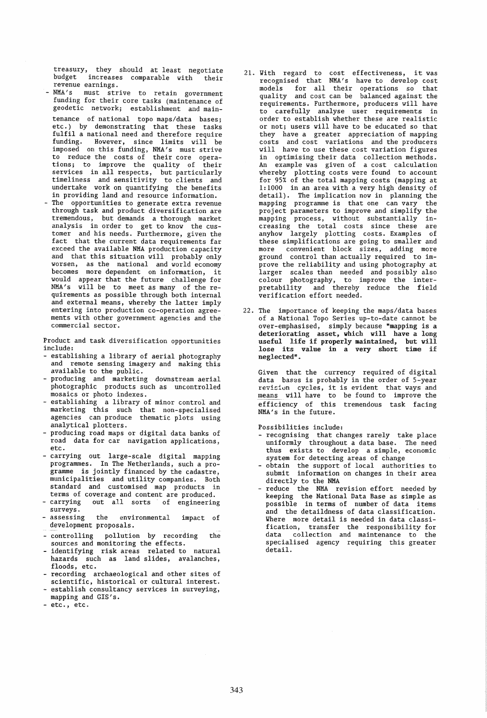treasury, they should at least negotiate<br>budget increases comparable with their budget increases comparable with<br>revenue earnings.

- NMA's must strive to retain government funding for their core tasks (maintenance of geodetic netvork; establishment and maintenance of national topo maps/data bases; etc.) by demonstrating that these tasks fulfil a national need and therefore require funding. Hovever, since limits viII be imposed on this funding, NMA's must strive to reduce the costs of their core operations; to improve the quality of their services in all respects, but particularly timeliness and sensitivity to clients and undertake work on quantifying the benefits in providing land and resource information.
- The opportunities to generate extra revenue through task and product diversification are tremendous, but demands a thorough market analysis in order to get to knov the customer and his needs. Furthermore, given the fact that the current data requirements far exceed the available NMA production capacity and that this situation vill probably only vorsen, as the national and vorld economy becomes more dependent on information, it vould appear that the future challenge for NMA's viII be to meet as many of the requirements as possible through both internal and external means, vhereby the latter imply entering into production co-operation agreements vith other government agencies and the commercial sector.

Product and task diversification opportunities include:

- establishing a library of aerial photography and remote sensing imagery and making this available to the public.
- producing and marketing dovnstream aerial photographic products such as uncontrolled mosaics or photo indexes.
- establishing a library of minor control and marketing this such that non-specialised agencies can produce thematic plots using analytical plotters.
- producing road maps or digital data banks of road data for car navigation applications, etc.
- carrying out large-scale digital mapping programmes. In The Netherlands, such a programme is jointly financed by the cadastre, municipalities and utility companies. Both standard and customised map products in terms of coverage and content are produced.
- carrying out all sorts of engineering surveys.
- the environmental development proposals. impact of
- controlling pollution by recording the sources and monitoring the effects.
- identifying risk areas related to natural hazards such as land slides, avalanches, floods, etc.
- recording archaeological and other sites of scientific, historical or cultural interest.
- establish consultancy services in surveying, mapping and GIS's.
- etc., etc.
- 21. Yith regard to cost effectiveness, it was recognised that NMA's have to develop cost models for all their operations so that quality and cost can be balanced against the requirements. Furthermore, producers will have to carefully analyse user requirements in order to establish whether these are realistic or not; users viII have to be educated so that they have a greater appreciation of mapping costs and cost variations and the producers viII have to use these cost variation figures in optimising their data collection methods. An example vas given of a cost calculation vhereby plotting costs vere found to account for 95% of the total mapping costs (mapping at 1:1000 in an area vith a very high density of detail). The implication nov in planning the mapping programme is that one can vary the project parameters to improve and simplify the mapping process, vithout substantially increasing the total costs since these are anyhov largely plotting costs. Examples of these simplifications are going to smaller and<br>more convenient block sizes, adding more convenient block sizes, adding more ground control than actually required to improve the reliability and using photography at larger scales than needed and possibly also colour photography, to improve the interpretability and thereby reduce the field verification effort needed.
- 22. The importance of keeping the maps/data bases of a National Topo Series up-to-date cannot be over-emphasised, simply because "mapping is a deteriorating asset, which will have a long useful life if properly maintained, but will lose its value in a very short time if neglected".

Given that the currency required of digital data bases is probably in the order of 5-year revision cycles, it is evident that ways and means viII have to be found to improve the efficiency of this tremendous task facing NMA's in the future.

Possibilities include:

- recognising that changes rarely take place uniformly throughout a data base. The need thus exists to develop a simple, economic system for detecting areas of change
- obtain the support of local authorities to submit information on changes in their area directly to the NHA
- reduce the NMA revision effort needed by keeping the National Data Base as simple as possible in terms of number of data items and the detaildness of data classification. Yhere more detail is needed in data classification, transfer the responsibility for data collection and maintenance to the specialised agency requiring this greater detail.